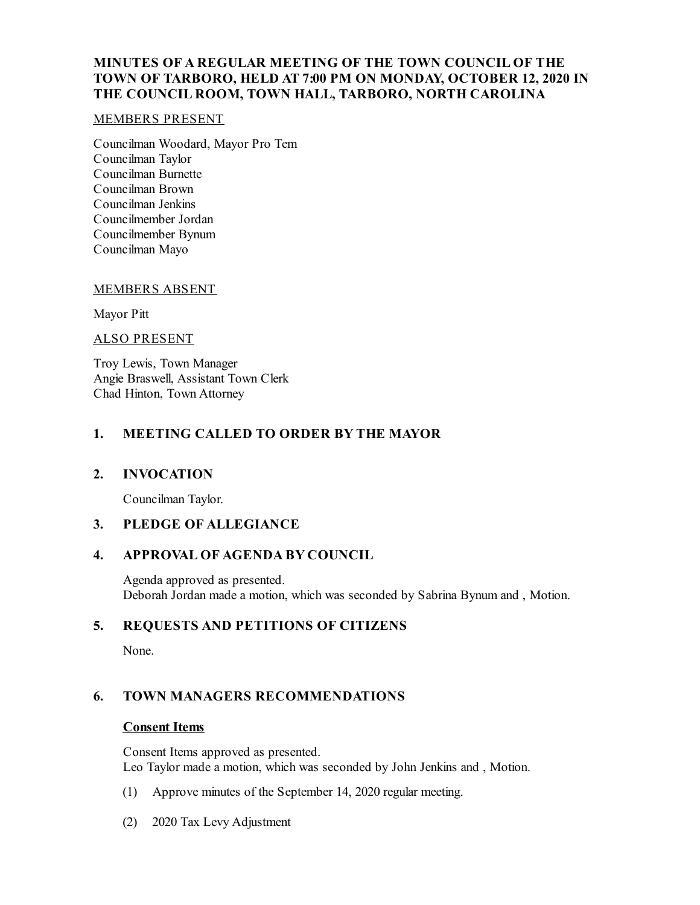## **MINUTES OF A REGULAR MEETING OF THE TOWN COUNCIL OF THE TOWN OF TARBORO, HELD AT 7:00 PM ON MONDAY, OCTOBER 12, 2020 IN THE COUNCIL ROOM, TOWN HALL, TARBORO, NORTH CAROLINA**

### MEMBERS PRESENT

Councilman Woodard, Mayor Pro Tem Councilman Taylor Councilman Burnette Councilman Brown Councilman Jenkins Councilmember Jordan Councilmember Bynum Councilman Mayo

#### MEMBERS ABSENT

Mayor Pitt

#### ALSO PRESENT

Troy Lewis, Town Manager Angie Braswell, Assistant Town Clerk Chad Hinton, Town Attorney

## **1. MEETING CALLED TO ORDER BY THE MAYOR**

### **2. INVOCATION**

Councilman Taylor.

# **3. PLEDGE OF ALLEGIANCE**

## **4. APPROVAL OF AGENDA BY COUNCIL**

Agenda approved as presented. Deborah Jordan made a motion, which was seconded by Sabrina Bynum and , Motion.

## **5. REQUESTS AND PETITIONS OF CITIZENS**

None.

## **6. TOWN MANAGERS RECOMMENDATIONS**

### **Consent Items**

Consent Items approved as presented. Leo Taylor made a motion, which was seconded by John Jenkins and , Motion.

- (1) Approve minutes of the September 14, 2020 regular meeting.
- (2) 2020 Tax Levy Adjustment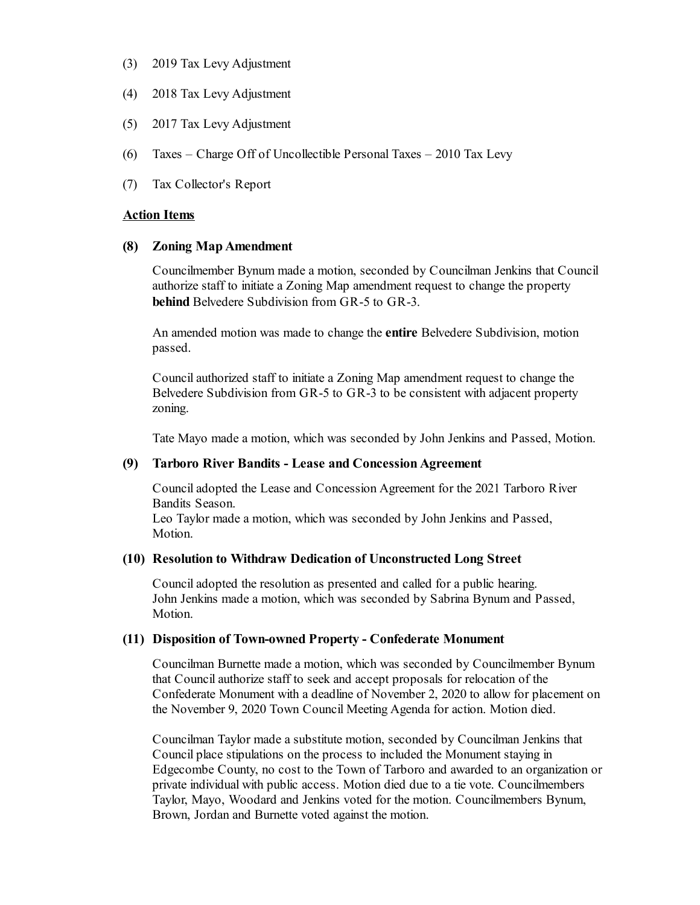- (3) 2019 Tax Levy Adjustment
- (4) 2018 Tax Levy Adjustment
- (5) 2017 Tax Levy Adjustment
- (6) Taxes Charge Off of Uncollectible Personal Taxes 2010 Tax Levy
- (7) Tax Collector's Report

#### **Action Items**

#### **(8) Zoning MapAmendment**

Councilmember Bynum made a motion, seconded by Councilman Jenkins that Council authorize staff to initiate a Zoning Map amendment request to change the property **behind** Belvedere Subdivision from GR-5 to GR-3.

An amended motion was made to change the **entire** Belvedere Subdivision, motion passed.

Councilauthorized staff to initiate a Zoning Map amendment request to change the Belvedere Subdivision from GR-5 to GR-3 to be consistent with adjacent property zoning.

Tate Mayo made a motion, which was seconded by John Jenkins and Passed, Motion.

#### **(9) Tarboro River Bandits - Lease and ConcessionAgreement**

Counciladopted the Lease and Concession Agreement for the 2021 Tarboro River Bandits Season.

Leo Taylor made a motion, which was seconded by John Jenkins and Passed, Motion.

### **(10) Resolution to Withdraw Dedication of Unconstructed Long Street**

Counciladopted the resolution as presented and called for a public hearing. John Jenkins made a motion, which was seconded by Sabrina Bynum and Passed, Motion.

#### **(11) Disposition of Town-owned Property - Confederate Monument**

Councilman Burnette made a motion, which was seconded by Councilmember Bynum that Councilauthorize staff to seek and accept proposals for relocation of the Confederate Monument with a deadline of November 2, 2020 to allow for placement on the November 9, 2020 Town Council Meeting Agenda for action. Motion died.

Councilman Taylor made a substitute motion, seconded by Councilman Jenkins that Council place stipulations on the process to included the Monument staying in Edgecombe County, no cost to the Town of Tarboro and awarded to an organization or private individual with public access. Motion died due to a tie vote. Councilmembers Taylor, Mayo, Woodard and Jenkins voted for the motion. Councilmembers Bynum, Brown, Jordan and Burnette voted against the motion.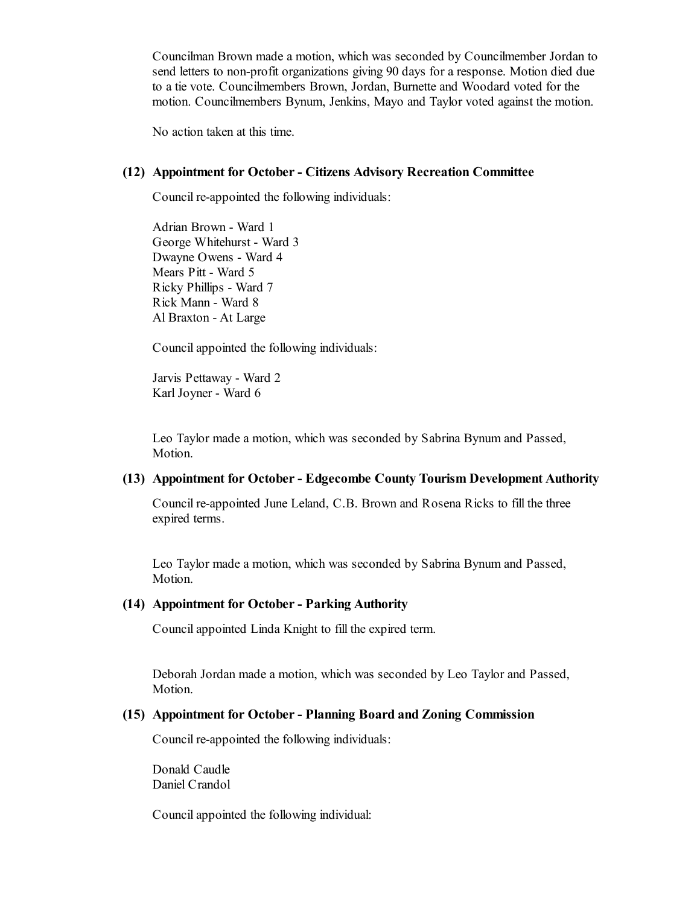Councilman Brown made a motion, which was seconded by Councilmember Jordan to send letters to non-profit organizations giving 90 days for a response. Motion died due to a tie vote. Councilmembers Brown, Jordan, Burnette and Woodard voted for the motion. Councilmembers Bynum, Jenkins, Mayo and Taylor voted against the motion.

No action taken at this time.

#### **(12) Appointment for October- Citizens Advisory Recreation Committee**

Council re-appointed the following individuals:

Adrian Brown - Ward 1 George Whitehurst - Ward 3 Dwayne Owens - Ward 4 Mears Pitt - Ward 5 Ricky Phillips - Ward 7 Rick Mann - Ward 8 Al Braxton - At Large

Councilappointed the following individuals:

Jarvis Pettaway - Ward 2 Karl Joyner - Ward 6

Leo Taylor made a motion, which was seconded by Sabrina Bynum and Passed, Motion.

### **(13) Appointment for October- Edgecombe County Tourism Development Authority**

Council re-appointed June Leland, C.B. Brown and Rosena Ricks to fill the three expired terms.

Leo Taylor made a motion, which was seconded by Sabrina Bynum and Passed, Motion.

#### **(14) Appointment for October- Parking Authority**

Councilappointed Linda Knight to fill the expired term.

Deborah Jordan made a motion, which was seconded by Leo Taylor and Passed, Motion.

#### **(15) Appointment for October- Planning Board and Zoning Commission**

Council re-appointed the following individuals:

Donald Caudle Daniel Crandol

Councilappointed the following individual: